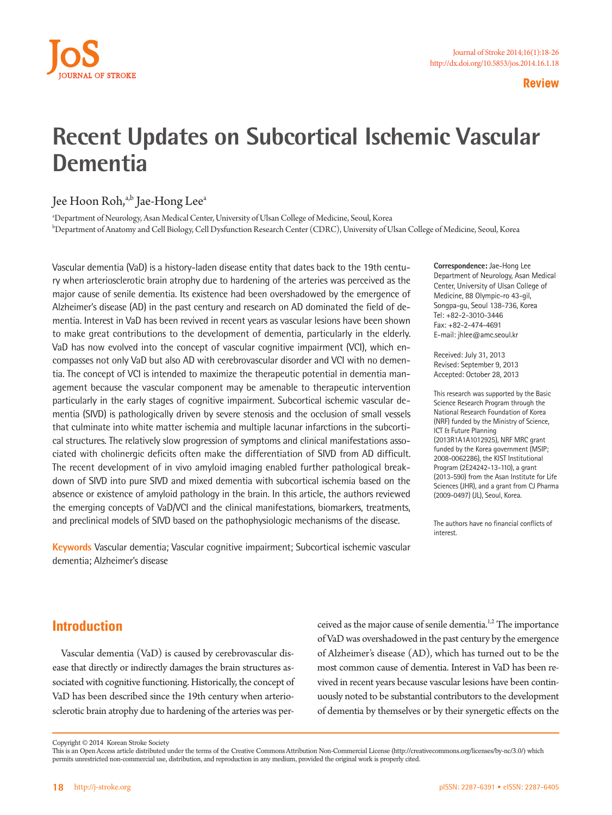

**Review**

# **Recent Updates on Subcortical Ischemic Vascular Dementia**

### Jee Hoon Roh,<sup>a,b</sup> Jae-Hong Lee<sup>a</sup>

a Department of Neurology, Asan Medical Center, University of Ulsan College of Medicine, Seoul, Korea b Department of Anatomy and Cell Biology, Cell Dysfunction Research Center (CDRC), University of Ulsan College of Medicine, Seoul, Korea

Vascular dementia (VaD) is a history-laden disease entity that dates back to the 19th century when arteriosclerotic brain atrophy due to hardening of the arteries was perceived as the major cause of senile dementia. Its existence had been overshadowed by the emergence of Alzheimer's disease (AD) in the past century and research on AD dominated the field of dementia. Interest in VaD has been revived in recent years as vascular lesions have been shown to make great contributions to the development of dementia, particularly in the elderly. VaD has now evolved into the concept of vascular cognitive impairment (VCI), which encompasses not only VaD but also AD with cerebrovascular disorder and VCI with no dementia. The concept of VCI is intended to maximize the therapeutic potential in dementia management because the vascular component may be amenable to therapeutic intervention particularly in the early stages of cognitive impairment. Subcortical ischemic vascular dementia (SIVD) is pathologically driven by severe stenosis and the occlusion of small vessels that culminate into white matter ischemia and multiple lacunar infarctions in the subcortical structures. The relatively slow progression of symptoms and clinical manifestations associated with cholinergic deficits often make the differentiation of SIVD from AD difficult. The recent development of in vivo amyloid imaging enabled further pathological breakdown of SIVD into pure SIVD and mixed dementia with subcortical ischemia based on the absence or existence of amyloid pathology in the brain. In this article, the authors reviewed the emerging concepts of VaD/VCI and the clinical manifestations, biomarkers, treatments, and preclinical models of SIVD based on the pathophysiologic mechanisms of the disease.

**Keywords** Vascular dementia; Vascular cognitive impairment; Subcortical ischemic vascular dementia; Alzheimer's disease

**Correspondence:** Jae-Hong Lee Department of Neurology, Asan Medical Center, University of Ulsan College of Medicine, 88 Olympic-ro 43-gil, Songpa-gu, Seoul 138-736, Korea Tel: +82-2-3010-3446 Fax: +82-2-474-4691 E-mail: jhlee@amc.seoul.kr

Received: July 31, 2013 Revised: September 9, 2013 Accepted: October 28, 2013

This research was supported by the Basic Science Research Program through the National Research Foundation of Korea (NRF) funded by the Ministry of Science, ICT & Future Planning (2013R1A1A1012925), NRF MRC grant funded by the Korea government (MSIP: 2008-0062286), the KIST Institutional Program (2E24242-13-110), a grant (2013-590) from the Asan Institute for Life Sciences (JHR), and a grant from CJ Pharma (2009-0497) (JL), Seoul, Korea.

The authors have no financial conflicts of interest.

## **Introduction**

Vascular dementia (VaD) is caused by cerebrovascular disease that directly or indirectly damages the brain structures associated with cognitive functioning. Historically, the concept of VaD has been described since the 19th century when arteriosclerotic brain atrophy due to hardening of the arteries was perceived as the major cause of senile dementia.<sup>1,2</sup> The importance of VaD was overshadowed in the past century by the emergence of Alzheimer's disease (AD), which has turned out to be the most common cause of dementia. Interest in VaD has been revived in recent years because vascular lesions have been continuously noted to be substantial contributors to the development of dementia by themselves or by their synergetic effects on the

Copyright © 2014 Korean Stroke Society

This is an Open Access article distributed under the terms of the Creative Commons Attribution Non-Commercial License (http://creativecommons.org/licenses/by-nc/3.0/) which permits unrestricted non-commercial use, distribution, and reproduction in any medium, provided the original work is properly cited.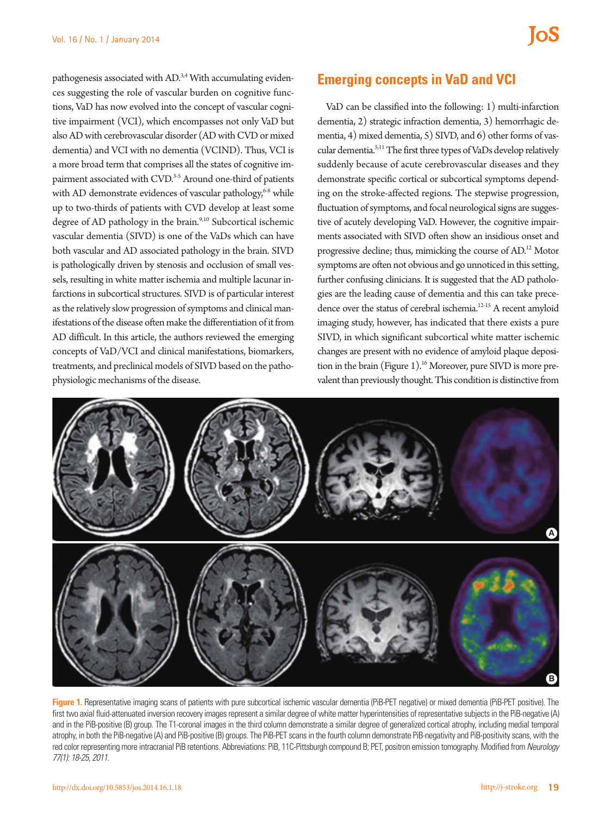pathogenesis associated with AD.<sup>3,4</sup> With accumulating evidences suggesting the role of vascular burden on cognitive functions, VaD has now evolved into the concept of vascular cognitive impairment (VCI), which encompasses not only VaD but also AD with cerebrovascular disorder (AD with CVD or mixed dementia) and VCI with no dementia (VCIND). Thus, VCI is a more broad term that comprises all the states of cognitive impairment associated with CVD.<sup>3-5</sup> Around one-third of patients with AD demonstrate evidences of vascular pathology,<sup>6-8</sup> while up to two-thirds of patients with CVD develop at least some degree of AD pathology in the brain.<sup>9,10</sup> Subcortical ischemic vascular dementia (SIVD) is one of the VaDs which can have both vascular and AD associated pathology in the brain. SIVD is pathologically driven by stenosis and occlusion of small vessels, resulting in white matter ischemia and multiple lacunar infarctions in subcortical structures. SIVD is of particular interest as the relatively slow progression of symptoms and clinical manifestations of the disease often make the differentiation of it from AD difficult. In this article, the authors reviewed the emerging concepts of VaD/VCI and clinical manifestations, biomarkers, treatments, and preclinical models of SIVD based on the pathophysiologic mechanisms of the disease.

#### **Emerging concepts in VaD and VCI**

VaD can be classified into the following: 1) multi-infarction dementia, 2) strategic infraction dementia, 3) hemorrhagic dementia, 4) mixed dementia, 5) SIVD, and 6) other forms of vascular dementia.5,11 The first three types of VaDs develop relatively suddenly because of acute cerebrovascular diseases and they demonstrate specific cortical or subcortical symptoms depending on the stroke-affected regions. The stepwise progression, fluctuation of symptoms, and focal neurological signs are suggestive of acutely developing VaD. However, the cognitive impairments associated with SIVD often show an insidious onset and progressive decline; thus, mimicking the course of AD.12 Motor symptoms are often not obvious and go unnoticed in this setting, further confusing clinicians. It is suggested that the AD pathologies are the leading cause of dementia and this can take precedence over the status of cerebral ischemia.12-15 A recent amyloid imaging study, however, has indicated that there exists a pure SIVD, in which significant subcortical white matter ischemic changes are present with no evidence of amyloid plaque deposition in the brain (Figure  $1$ ).<sup>16</sup> Moreover, pure SIVD is more prevalent than previously thought. This condition is distinctive from



Figure 1. Representative imaging scans of patients with pure subcortical ischemic vascular dementia (PiB-PET negative) or mixed dementia (PiB-PET positive). The first two axial fluid-attenuated inversion recovery images represent a similar degree of white matter hyperintensities of representative subjects in the PiB-negative (A) and in the PiB-positive (B) group. The T1-coronal images in the third column demonstrate a similar degree of generalized cortical atrophy, including medial temporal atrophy, in both the PiB-negative (A) and PiB-positive (B) groups. The PiB-PET scans in the fourth column demonstrate PiB-negativity and PiB-positivity scans, with the red color representing more intracranial PiB retentions. Abbreviations: PiB, 11C-Pittsburgh compound B; PET, positron emission tomography. Modified from *Neurology 77(1): 18-25, 2011*.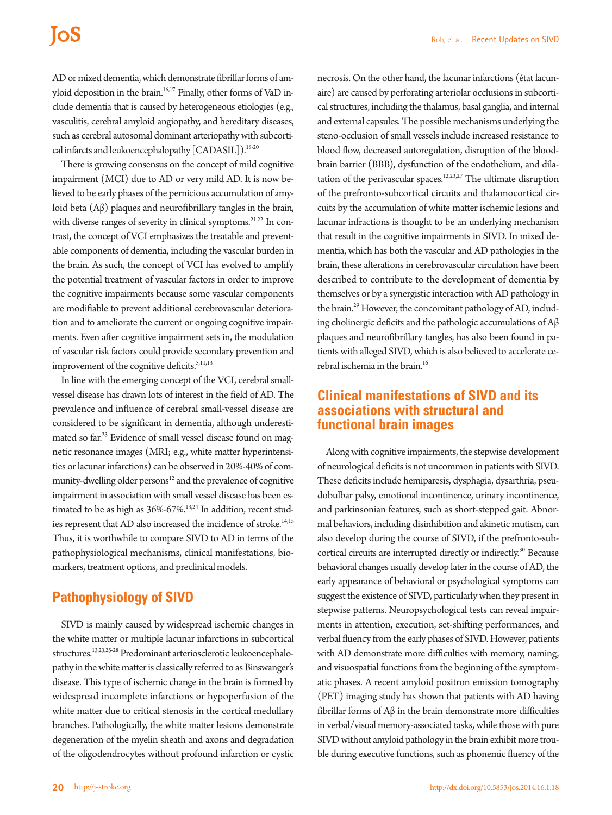AD or mixed dementia, which demonstrate fibrillar forms of amyloid deposition in the brain.<sup>16,17</sup> Finally, other forms of VaD include dementia that is caused by heterogeneous etiologies (e.g., vasculitis, cerebral amyloid angiopathy, and hereditary diseases, such as cerebral autosomal dominant arteriopathy with subcortical infarcts and leukoencephalopathy [CADASIL]).<sup>18-20</sup>

There is growing consensus on the concept of mild cognitive impairment (MCI) due to AD or very mild AD. It is now believed to be early phases of the pernicious accumulation of amyloid beta (Aβ) plaques and neurofibrillary tangles in the brain, with diverse ranges of severity in clinical symptoms.<sup>21,22</sup> In contrast, the concept of VCI emphasizes the treatable and preventable components of dementia, including the vascular burden in the brain. As such, the concept of VCI has evolved to amplify the potential treatment of vascular factors in order to improve the cognitive impairments because some vascular components are modifiable to prevent additional cerebrovascular deterioration and to ameliorate the current or ongoing cognitive impairments. Even after cognitive impairment sets in, the modulation of vascular risk factors could provide secondary prevention and improvement of the cognitive deficits.<sup>5,11,13</sup>

In line with the emerging concept of the VCI, cerebral smallvessel disease has drawn lots of interest in the field of AD. The prevalence and influence of cerebral small-vessel disease are considered to be significant in dementia, although underestimated so far.<sup>23</sup> Evidence of small vessel disease found on magnetic resonance images (MRI; e.g., white matter hyperintensities or lacunar infarctions) can be observed in 20%-40% of community-dwelling older persons<sup>12</sup> and the prevalence of cognitive impairment in association with small vessel disease has been estimated to be as high as  $36\% - 67\%$ .<sup>13,24</sup> In addition, recent studies represent that AD also increased the incidence of stroke.<sup>14,15</sup> Thus, it is worthwhile to compare SIVD to AD in terms of the pathophysiological mechanisms, clinical manifestations, biomarkers, treatment options, and preclinical models.

## **Pathophysiology of SIVD**

SIVD is mainly caused by widespread ischemic changes in the white matter or multiple lacunar infarctions in subcortical structures.13,23,25-28 Predominant arteriosclerotic leukoencephalopathy in the white matter is classically referred to as Binswanger's disease. This type of ischemic change in the brain is formed by widespread incomplete infarctions or hypoperfusion of the white matter due to critical stenosis in the cortical medullary branches. Pathologically, the white matter lesions demonstrate degeneration of the myelin sheath and axons and degradation of the oligodendrocytes without profound infarction or cystic

necrosis. On the other hand, the lacunar infarctions (état lacunaire) are caused by perforating arteriolar occlusions in subcortical structures, including the thalamus, basal ganglia, and internal and external capsules. The possible mechanisms underlying the steno-occlusion of small vessels include increased resistance to blood flow, decreased autoregulation, disruption of the bloodbrain barrier (BBB), dysfunction of the endothelium, and dilatation of the perivascular spaces.<sup>12,23,27</sup> The ultimate disruption of the prefronto-subcortical circuits and thalamocortical circuits by the accumulation of white matter ischemic lesions and lacunar infractions is thought to be an underlying mechanism that result in the cognitive impairments in SIVD. In mixed dementia, which has both the vascular and AD pathologies in the brain, these alterations in cerebrovascular circulation have been described to contribute to the development of dementia by themselves or by a synergistic interaction with AD pathology in the brain.<sup>29</sup> However, the concomitant pathology of AD, including cholinergic deficits and the pathologic accumulations of Aβ plaques and neurofibrillary tangles, has also been found in patients with alleged SIVD, which is also believed to accelerate cerebral ischemia in the brain.<sup>16</sup>

### **Clinical manifestations of SIVD and its associations with structural and functional brain images**

Along with cognitive impairments, the stepwise development of neurological deficits is not uncommon in patients with SIVD. These deficits include hemiparesis, dysphagia, dysarthria, pseudobulbar palsy, emotional incontinence, urinary incontinence, and parkinsonian features, such as short-stepped gait. Abnormal behaviors, including disinhibition and akinetic mutism, can also develop during the course of SIVD, if the prefronto-subcortical circuits are interrupted directly or indirectly.<sup>30</sup> Because behavioral changes usually develop later in the course of AD, the early appearance of behavioral or psychological symptoms can suggest the existence of SIVD, particularly when they present in stepwise patterns. Neuropsychological tests can reveal impairments in attention, execution, set-shifting performances, and verbal fluency from the early phases of SIVD. However, patients with AD demonstrate more difficulties with memory, naming, and visuospatial functions from the beginning of the symptomatic phases. A recent amyloid positron emission tomography (PET) imaging study has shown that patients with AD having fibrillar forms of Aβ in the brain demonstrate more difficulties in verbal/visual memory-associated tasks, while those with pure SIVD without amyloid pathology in the brain exhibit more trouble during executive functions, such as phonemic fluency of the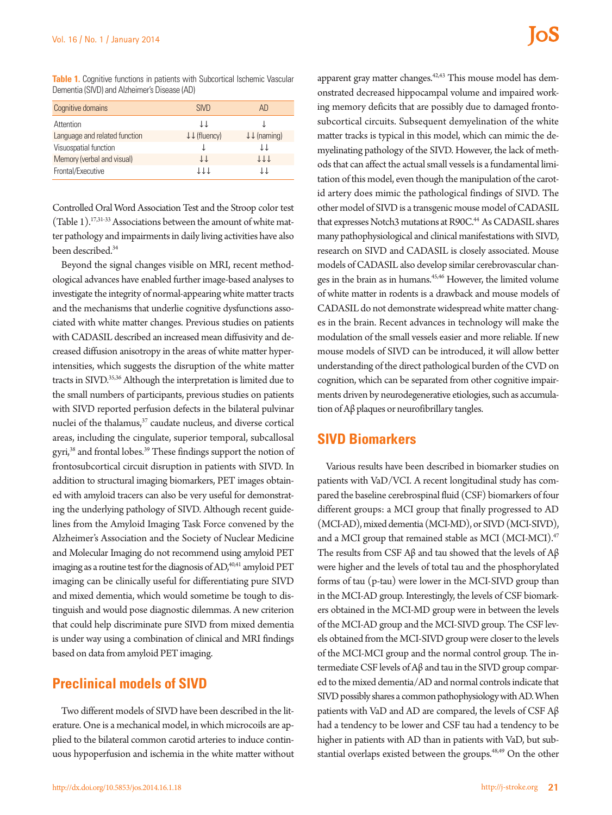**Table 1.** Cognitive functions in patients with Subcortical Ischemic Vascular Dementia (SIVD) and Alzheimer's Disease (AD)

| Cognitive domains             | <b>SIVD</b>                       | AD.                              |
|-------------------------------|-----------------------------------|----------------------------------|
| Attention                     | ΤT                                |                                  |
| Language and related function | $\downarrow \downarrow$ (fluency) | $\downarrow \downarrow$ (naming) |
| Visuospatial function         |                                   | ΤT                               |
| Memory (verbal and visual)    | TT                                | <b>JJJ</b>                       |
| Frontal/Executive             | 11 T                              | ΤT                               |

Controlled Oral Word Association Test and the Stroop color test (Table 1).17,31-33 Associations between the amount of white matter pathology and impairments in daily living activities have also been described.<sup>34</sup>

Beyond the signal changes visible on MRI, recent methodological advances have enabled further image-based analyses to investigate the integrity of normal-appearing white matter tracts and the mechanisms that underlie cognitive dysfunctions associated with white matter changes. Previous studies on patients with CADASIL described an increased mean diffusivity and decreased diffusion anisotropy in the areas of white matter hyperintensities, which suggests the disruption of the white matter tracts in SIVD.35,36 Although the interpretation is limited due to the small numbers of participants, previous studies on patients with SIVD reported perfusion defects in the bilateral pulvinar nuclei of the thalamus,<sup>37</sup> caudate nucleus, and diverse cortical areas, including the cingulate, superior temporal, subcallosal gyri,<sup>38</sup> and frontal lobes.<sup>39</sup> These findings support the notion of frontosubcortical circuit disruption in patients with SIVD. In addition to structural imaging biomarkers, PET images obtained with amyloid tracers can also be very useful for demonstrating the underlying pathology of SIVD. Although recent guidelines from the Amyloid Imaging Task Force convened by the Alzheimer's Association and the Society of Nuclear Medicine and Molecular Imaging do not recommend using amyloid PET imaging as a routine test for the diagnosis of AD,<sup>40,41</sup> amyloid PET imaging can be clinically useful for differentiating pure SIVD and mixed dementia, which would sometime be tough to distinguish and would pose diagnostic dilemmas. A new criterion that could help discriminate pure SIVD from mixed dementia is under way using a combination of clinical and MRI findings based on data from amyloid PET imaging.

## **Preclinical models of SIVD**

Two different models of SIVD have been described in the literature. One is a mechanical model, in which microcoils are applied to the bilateral common carotid arteries to induce continuous hypoperfusion and ischemia in the white matter without

apparent gray matter changes. $42,43$  This mouse model has demonstrated decreased hippocampal volume and impaired working memory deficits that are possibly due to damaged frontosubcortical circuits. Subsequent demyelination of the white matter tracks is typical in this model, which can mimic the demyelinating pathology of the SIVD. However, the lack of methods that can affect the actual small vessels is a fundamental limitation of this model, even though the manipulation of the carotid artery does mimic the pathological findings of SIVD. The other model of SIVD is a transgenic mouse model of CADASIL that expresses Notch3 mutations at R90C.<sup>44</sup> As CADASIL shares many pathophysiological and clinical manifestations with SIVD, research on SIVD and CADASIL is closely associated. Mouse models of CADASIL also develop similar cerebrovascular changes in the brain as in humans.45,46 However, the limited volume of white matter in rodents is a drawback and mouse models of CADASIL do not demonstrate widespread white matter changes in the brain. Recent advances in technology will make the modulation of the small vessels easier and more reliable. If new mouse models of SIVD can be introduced, it will allow better understanding of the direct pathological burden of the CVD on cognition, which can be separated from other cognitive impairments driven by neurodegenerative etiologies, such as accumulation of Aβ plaques or neurofibrillary tangles.

#### **SIVD Biomarkers**

Various results have been described in biomarker studies on patients with VaD/VCI. A recent longitudinal study has compared the baseline cerebrospinal fluid (CSF) biomarkers of four different groups: a MCI group that finally progressed to AD (MCI-AD), mixed dementia (MCI-MD), or SIVD (MCI-SIVD), and a MCI group that remained stable as MCI (MCI-MCI).<sup>47</sup> The results from CSF Aβ and tau showed that the levels of Aβ were higher and the levels of total tau and the phosphorylated forms of tau (p-tau) were lower in the MCI-SIVD group than in the MCI-AD group. Interestingly, the levels of CSF biomarkers obtained in the MCI-MD group were in between the levels of the MCI-AD group and the MCI-SIVD group. The CSF levels obtained from the MCI-SIVD group were closer to the levels of the MCI-MCI group and the normal control group. The intermediate CSF levels of Aβ and tau in the SIVD group compared to the mixed dementia/AD and normal controls indicate that SIVD possibly shares a common pathophysiology with AD. When patients with VaD and AD are compared, the levels of CSF Aβ had a tendency to be lower and CSF tau had a tendency to be higher in patients with AD than in patients with VaD, but substantial overlaps existed between the groups.<sup>48,49</sup> On the other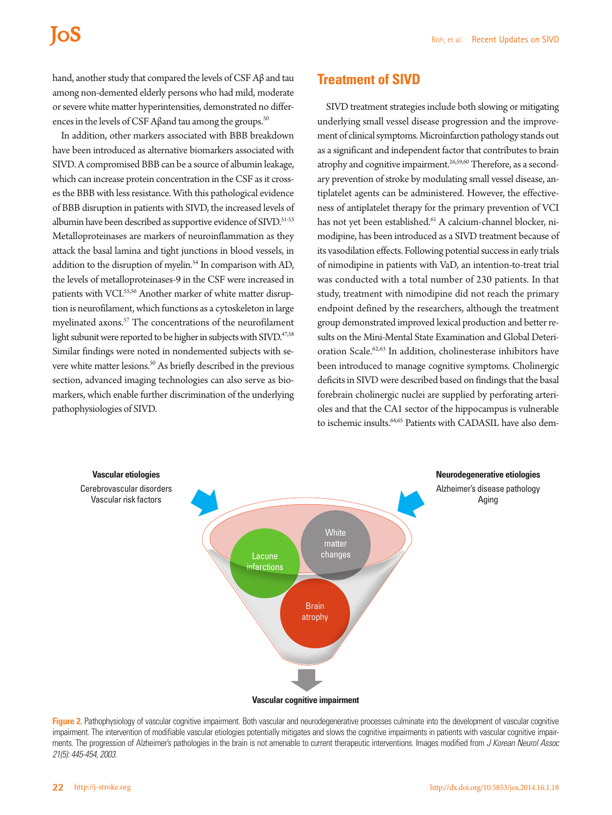hand, another study that compared the levels of CSF Aβ and tau among non-demented elderly persons who had mild, moderate or severe white matter hyperintensities, demonstrated no differences in the levels of CSF Aβand tau among the groups.<sup>50</sup>

In addition, other markers associated with BBB breakdown have been introduced as alternative biomarkers associated with SIVD. A compromised BBB can be a source of albumin leakage, which can increase protein concentration in the CSF as it crosses the BBB with less resistance. With this pathological evidence of BBB disruption in patients with SIVD, the increased levels of albumin have been described as supportive evidence of SIVD.<sup>51-53</sup> Metalloproteinases are markers of neuroinflammation as they attack the basal lamina and tight junctions in blood vessels, in addition to the disruption of myelin.<sup>54</sup> In comparison with AD, the levels of metalloproteinases-9 in the CSF were increased in patients with VCI.<sup>55,56</sup> Another marker of white matter disruption is neurofilament, which functions as a cytoskeleton in large myelinated axons.<sup>57</sup> The concentrations of the neurofilament light subunit were reported to be higher in subjects with SIVD.<sup>47,58</sup> Similar findings were noted in nondemented subjects with severe white matter lesions.<sup>50</sup> As briefly described in the previous section, advanced imaging technologies can also serve as biomarkers, which enable further discrimination of the underlying pathophysiologies of SIVD.

#### **Treatment of SIVD**

SIVD treatment strategies include both slowing or mitigating underlying small vessel disease progression and the improvement of clinical symptoms. Microinfarction pathology stands out as a significant and independent factor that contributes to brain atrophy and cognitive impairment.<sup>26,59,60</sup> Therefore, as a secondary prevention of stroke by modulating small vessel disease, antiplatelet agents can be administered. However, the effectiveness of antiplatelet therapy for the primary prevention of VCI has not yet been established.<sup>61</sup> A calcium-channel blocker, nimodipine, has been introduced as a SIVD treatment because of its vasodilation effects. Following potential success in early trials of nimodipine in patients with VaD, an intention-to-treat trial was conducted with a total number of 230 patients. In that study, treatment with nimodipine did not reach the primary endpoint defined by the researchers, although the treatment group demonstrated improved lexical production and better results on the Mini-Mental State Examination and Global Deterioration Scale.<sup>62,63</sup> In addition, cholinesterase inhibitors have been introduced to manage cognitive symptoms. Cholinergic deficits in SIVD were described based on findings that the basal forebrain cholinergic nuclei are supplied by perforating arterioles and that the CA1 sector of the hippocampus is vulnerable to ischemic insults.<sup>64,65</sup> Patients with CADASIL have also dem-



Figure 2. Pathophysiology of vascular cognitive impairment. Both vascular and neurodegenerative processes culminate into the development of vascular cognitive impairment. The intervention of modifiable vascular etiologies potentially mitigates and slows the cognitive impairments in patients with vascular cognitive impairments. The progression of Alzheimer's pathologies in the brain is not amenable to current therapeutic interventions. Images modified from *J Korean Neurol Assoc 21(5): 445-454, 2003*.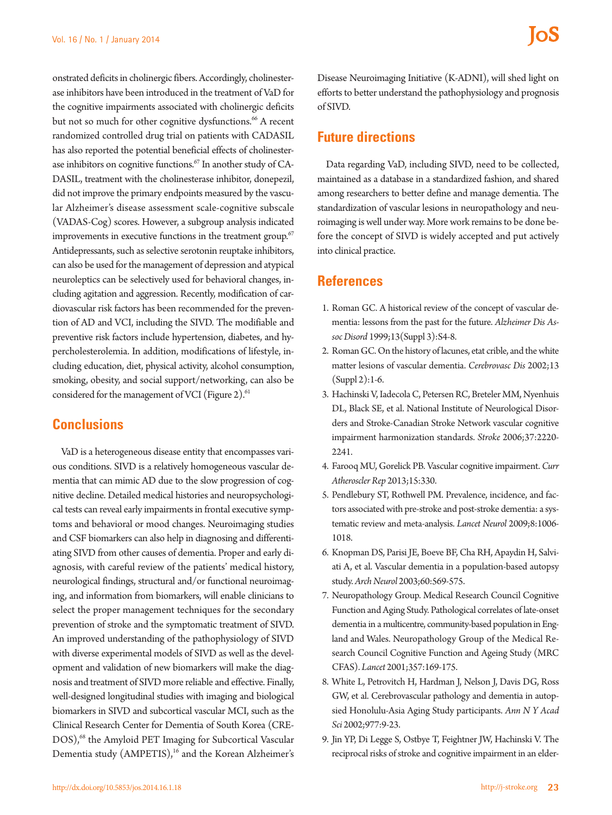onstrated deficits in cholinergic fibers. Accordingly, cholinesterase inhibitors have been introduced in the treatment of VaD for the cognitive impairments associated with cholinergic deficits but not so much for other cognitive dysfunctions.<sup>66</sup> A recent randomized controlled drug trial on patients with CADASIL has also reported the potential beneficial effects of cholinesterase inhibitors on cognitive functions.<sup>67</sup> In another study of CA-DASIL, treatment with the cholinesterase inhibitor, donepezil, did not improve the primary endpoints measured by the vascular Alzheimer's disease assessment scale-cognitive subscale (VADAS-Cog) scores. However, a subgroup analysis indicated improvements in executive functions in the treatment group.<sup>67</sup> Antidepressants, such as selective serotonin reuptake inhibitors, can also be used for the management of depression and atypical neuroleptics can be selectively used for behavioral changes, including agitation and aggression. Recently, modification of cardiovascular risk factors has been recommended for the prevention of AD and VCI, including the SIVD. The modifiable and preventive risk factors include hypertension, diabetes, and hypercholesterolemia. In addition, modifications of lifestyle, including education, diet, physical activity, alcohol consumption, smoking, obesity, and social support/networking, can also be considered for the management of VCI (Figure 2).<sup>61</sup>

### **Conclusions**

VaD is a heterogeneous disease entity that encompasses various conditions. SIVD is a relatively homogeneous vascular dementia that can mimic AD due to the slow progression of cognitive decline. Detailed medical histories and neuropsychological tests can reveal early impairments in frontal executive symptoms and behavioral or mood changes. Neuroimaging studies and CSF biomarkers can also help in diagnosing and differentiating SIVD from other causes of dementia. Proper and early diagnosis, with careful review of the patients' medical history, neurological findings, structural and/or functional neuroimaging, and information from biomarkers, will enable clinicians to select the proper management techniques for the secondary prevention of stroke and the symptomatic treatment of SIVD. An improved understanding of the pathophysiology of SIVD with diverse experimental models of SIVD as well as the development and validation of new biomarkers will make the diagnosis and treatment of SIVD more reliable and effective. Finally, well-designed longitudinal studies with imaging and biological biomarkers in SIVD and subcortical vascular MCI, such as the Clinical Research Center for Dementia of South Korea (CRE-DOS),<sup>68</sup> the Amyloid PET Imaging for Subcortical Vascular Dementia study (AMPETIS),<sup>16</sup> and the Korean Alzheimer's Disease Neuroimaging Initiative (K-ADNI), will shed light on efforts to better understand the pathophysiology and prognosis of SIVD.

#### **Future directions**

Data regarding VaD, including SIVD, need to be collected, maintained as a database in a standardized fashion, and shared among researchers to better define and manage dementia. The standardization of vascular lesions in neuropathology and neuroimaging is well under way. More work remains to be done before the concept of SIVD is widely accepted and put actively into clinical practice.

#### **References**

- 1. Roman GC. A historical review of the concept of vascular dementia: lessons from the past for the future. *Alzheimer Dis Assoc Disord* 1999;13(Suppl 3):S4-8.
- 2. Roman GC. On the history of lacunes, etat crible, and the white matter lesions of vascular dementia. *Cerebrovasc Dis* 2002;13  $(Suppl 2):1-6.$
- 3. Hachinski V, Iadecola C, Petersen RC, Breteler MM, Nyenhuis DL, Black SE, et al. National Institute of Neurological Disorders and Stroke-Canadian Stroke Network vascular cognitive impairment harmonization standards. *Stroke* 2006;37:2220- 2241.
- 4. Farooq MU, Gorelick PB. Vascular cognitive impairment. *Curr Atheroscler Rep* 2013;15:330.
- 5. Pendlebury ST, Rothwell PM. Prevalence, incidence, and factors associated with pre-stroke and post-stroke dementia: a systematic review and meta-analysis. *Lancet Neurol* 2009;8:1006- 1018.
- 6. Knopman DS, Parisi JE, Boeve BF, Cha RH, Apaydin H, Salviati A, et al. Vascular dementia in a population-based autopsy study. *Arch Neurol* 2003;60:569-575.
- 7. Neuropathology Group. Medical Research Council Cognitive Function and Aging Study. Pathological correlates of late-onset dementia in a multicentre, community-based population in England and Wales. Neuropathology Group of the Medical Research Council Cognitive Function and Ageing Study (MRC CFAS). *Lancet* 2001;357:169-175.
- 8. White L, Petrovitch H, Hardman J, Nelson J, Davis DG, Ross GW, et al. Cerebrovascular pathology and dementia in autopsied Honolulu-Asia Aging Study participants. *Ann N Y Acad Sci* 2002;977:9-23.
- 9. Jin YP, Di Legge S, Ostbye T, Feightner JW, Hachinski V. The reciprocal risks of stroke and cognitive impairment in an elder-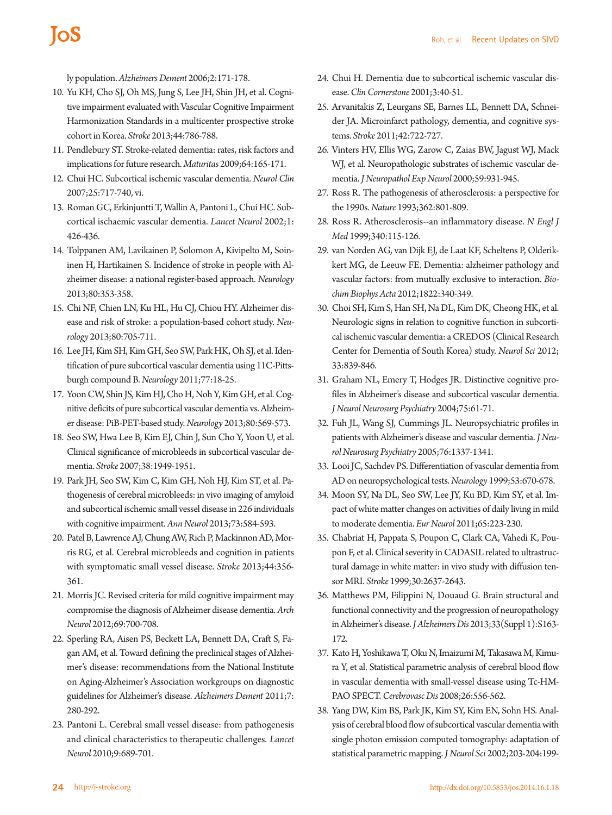ly population. *Alzheimers Dement* 2006;2:171-178.

- 10. Yu KH, Cho SJ, Oh MS, Jung S, Lee JH, Shin JH, et al. Cognitive impairment evaluated with Vascular Cognitive Impairment Harmonization Standards in a multicenter prospective stroke cohort in Korea. *Stroke* 2013;44:786-788.
- 11. Pendlebury ST. Stroke-related dementia: rates, risk factors and implications for future research. *Maturitas* 2009;64:165-171.
- 12. Chui HC. Subcortical ischemic vascular dementia. *Neurol Clin*  2007;25:717-740, vi.
- 13. Roman GC, Erkinjuntti T, Wallin A, Pantoni L, Chui HC. Subcortical ischaemic vascular dementia. *Lancet Neurol* 2002;1: 426-436.
- 14. Tolppanen AM, Lavikainen P, Solomon A, Kivipelto M, Soininen H, Hartikainen S. Incidence of stroke in people with Alzheimer disease: a national register-based approach. *Neurology*  2013;80:353-358.
- 15. Chi NF, Chien LN, Ku HL, Hu CJ, Chiou HY. Alzheimer disease and risk of stroke: a population-based cohort study. *Neurology* 2013;80:705-711.
- 16. Lee JH, Kim SH, Kim GH, Seo SW, Park HK, Oh SJ, et al. Identification of pure subcortical vascular dementia using 11C-Pittsburgh compound B. *Neurology* 2011;77:18-25.
- 17. Yoon CW, Shin JS, Kim HJ, Cho H, Noh Y, Kim GH, et al. Cognitive deficits of pure subcortical vascular dementia vs. Alzheimer disease: PiB-PET-based study. *Neurology* 2013;80:569-573.
- 18. Seo SW, Hwa Lee B, Kim EJ, Chin J, Sun Cho Y, Yoon U, et al. Clinical significance of microbleeds in subcortical vascular dementia. *Stroke* 2007;38:1949-1951.
- 19. Park JH, Seo SW, Kim C, Kim GH, Noh HJ, Kim ST, et al. Pathogenesis of cerebral microbleeds: in vivo imaging of amyloid and subcortical ischemic small vessel disease in 226 individuals with cognitive impairment. *Ann Neurol* 2013;73:584-593.
- 20. Patel B, Lawrence AJ, Chung AW, Rich P, Mackinnon AD, Morris RG, et al. Cerebral microbleeds and cognition in patients with symptomatic small vessel disease. *Stroke* 2013;44:356- 361.
- 21. Morris JC. Revised criteria for mild cognitive impairment may compromise the diagnosis of Alzheimer disease dementia. *Arch Neurol* 2012;69:700-708.
- 22. Sperling RA, Aisen PS, Beckett LA, Bennett DA, Craft S, Fagan AM, et al. Toward defining the preclinical stages of Alzheimer's disease: recommendations from the National Institute on Aging-Alzheimer's Association workgroups on diagnostic guidelines for Alzheimer's disease. *Alzheimers Dement* 2011;7: 280-292.
- 23. Pantoni L. Cerebral small vessel disease: from pathogenesis and clinical characteristics to therapeutic challenges. *Lancet Neurol* 2010;9:689-701.
- 24. Chui H. Dementia due to subcortical ischemic vascular disease. *Clin Cornerstone* 2001;3:40-51.
- 25. Arvanitakis Z, Leurgans SE, Barnes LL, Bennett DA, Schneider JA. Microinfarct pathology, dementia, and cognitive systems. *Stroke* 2011;42:722-727.
- 26. Vinters HV, Ellis WG, Zarow C, Zaias BW, Jagust WJ, Mack WJ, et al. Neuropathologic substrates of ischemic vascular dementia. *J Neuropathol Exp Neurol* 2000;59:931-945.
- 27. Ross R. The pathogenesis of atherosclerosis: a perspective for the 1990s. *Nature* 1993;362:801-809.
- 28. Ross R. Atherosclerosis--an inflammatory disease. *N Engl J Med* 1999;340:115-126.
- 29. van Norden AG, van Dijk EJ, de Laat KF, Scheltens P, Olderikkert MG, de Leeuw FE. Dementia: alzheimer pathology and vascular factors: from mutually exclusive to interaction. *Biochim Biophys Acta* 2012;1822:340-349.
- 30. Choi SH, Kim S, Han SH, Na DL, Kim DK, Cheong HK, et al. Neurologic signs in relation to cognitive function in subcortical ischemic vascular dementia: a CREDOS (Clinical Research Center for Dementia of South Korea) study. *Neurol Sci* 2012; 33:839-846.
- 31. Graham NL, Emery T, Hodges JR. Distinctive cognitive profiles in Alzheimer's disease and subcortical vascular dementia. *J Neurol Neurosurg Psychiatry* 2004;75:61-71.
- 32. Fuh JL, Wang SJ, Cummings JL. Neuropsychiatric profiles in patients with Alzheimer's disease and vascular dementia. *J Neurol Neurosurg Psychiatry* 2005;76:1337-1341.
- 33. Looi JC, Sachdev PS. Differentiation of vascular dementia from AD on neuropsychological tests. *Neurology* 1999;53:670-678.
- 34. Moon SY, Na DL, Seo SW, Lee JY, Ku BD, Kim SY, et al. Impact of white matter changes on activities of daily living in mild to moderate dementia. *Eur Neurol* 2011;65:223-230.
- 35. Chabriat H, Pappata S, Poupon C, Clark CA, Vahedi K, Poupon F, et al. Clinical severity in CADASIL related to ultrastructural damage in white matter: in vivo study with diffusion tensor MRI. *Stroke* 1999;30:2637-2643.
- 36. Matthews PM, Filippini N, Douaud G. Brain structural and functional connectivity and the progression of neuropathology in Alzheimer's disease. *J Alzheimers Dis* 2013;33(Suppl 1):S163- 172.
- 37. Kato H, Yoshikawa T, Oku N, Imaizumi M, Takasawa M, Kimura Y, et al. Statistical parametric analysis of cerebral blood flow in vascular dementia with small-vessel disease using Tc-HM-PAO SPECT. *Cerebrovasc Dis* 2008;26:556-562.
- 38. Yang DW, Kim BS, Park JK, Kim SY, Kim EN, Sohn HS. Analysis of cerebral blood flow of subcortical vascular dementia with single photon emission computed tomography: adaptation of statistical parametric mapping. *J Neurol Sci* 2002;203-204:199-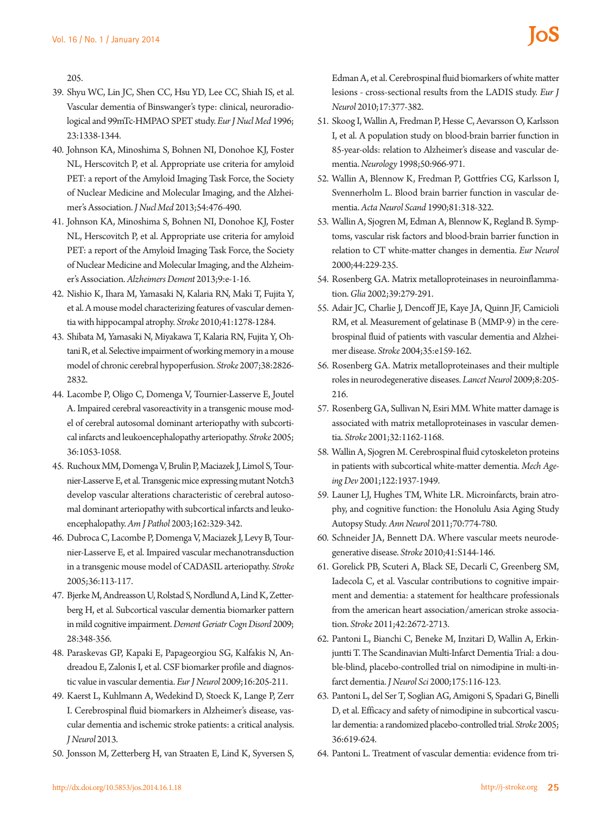205.

- 39. Shyu WC, Lin JC, Shen CC, Hsu YD, Lee CC, Shiah IS, et al. Vascular dementia of Binswanger's type: clinical, neuroradiological and 99mTc-HMPAO SPET study. *Eur J Nucl Med* 1996; 23:1338-1344.
- 40. Johnson KA, Minoshima S, Bohnen NI, Donohoe KJ, Foster NL, Herscovitch P, et al. Appropriate use criteria for amyloid PET: a report of the Amyloid Imaging Task Force, the Society of Nuclear Medicine and Molecular Imaging, and the Alzheimer's Association. *J Nucl Med* 2013;54:476-490.
- 41. Johnson KA, Minoshima S, Bohnen NI, Donohoe KJ, Foster NL, Herscovitch P, et al. Appropriate use criteria for amyloid PET: a report of the Amyloid Imaging Task Force, the Society of Nuclear Medicine and Molecular Imaging, and the Alzheimer's Association. *Alzheimers Dement* 2013;9:e-1-16.
- 42. Nishio K, Ihara M, Yamasaki N, Kalaria RN, Maki T, Fujita Y, et al. A mouse model characterizing features of vascular dementia with hippocampal atrophy. *Stroke* 2010;41:1278-1284.
- 43. Shibata M, Yamasaki N, Miyakawa T, Kalaria RN, Fujita Y, Ohtani R, et al. Selective impairment of working memory in a mouse model of chronic cerebral hypoperfusion. *Stroke* 2007;38:2826- 2832.
- 44. Lacombe P, Oligo C, Domenga V, Tournier-Lasserve E, Joutel A. Impaired cerebral vasoreactivity in a transgenic mouse model of cerebral autosomal dominant arteriopathy with subcortical infarcts and leukoencephalopathy arteriopathy. *Stroke* 2005; 36:1053-1058.
- 45. Ruchoux MM, Domenga V, Brulin P, Maciazek J, Limol S, Tournier-Lasserve E, et al. Transgenic mice expressing mutant Notch3 develop vascular alterations characteristic of cerebral autosomal dominant arteriopathy with subcortical infarcts and leukoencephalopathy. *Am J Pathol* 2003;162:329-342.
- 46. Dubroca C, Lacombe P, Domenga V, Maciazek J, Levy B, Tournier-Lasserve E, et al. Impaired vascular mechanotransduction in a transgenic mouse model of CADASIL arteriopathy. *Stroke*  2005;36:113-117.
- 47. Bjerke M, Andreasson U, Rolstad S, Nordlund A, Lind K, Zetterberg H, et al. Subcortical vascular dementia biomarker pattern in mild cognitive impairment. *Dement Geriatr Cogn Disord* 2009; 28:348-356.
- 48. Paraskevas GP, Kapaki E, Papageorgiou SG, Kalfakis N, Andreadou E, Zalonis I, et al. CSF biomarker profile and diagnostic value in vascular dementia. *Eur J Neurol* 2009;16:205-211.
- 49. Kaerst L, Kuhlmann A, Wedekind D, Stoeck K, Lange P, Zerr I. Cerebrospinal fluid biomarkers in Alzheimer's disease, vascular dementia and ischemic stroke patients: a critical analysis. *J Neurol* 2013.
- 50. Jonsson M, Zetterberg H, van Straaten E, Lind K, Syversen S,

Edman A, et al. Cerebrospinal fluid biomarkers of white matter lesions - cross-sectional results from the LADIS study. *Eur J Neurol* 2010;17:377-382.

- 51. Skoog I, Wallin A, Fredman P, Hesse C, Aevarsson O, Karlsson I, et al. A population study on blood-brain barrier function in 85-year-olds: relation to Alzheimer's disease and vascular dementia. *Neurology* 1998;50:966-971.
- 52. Wallin A, Blennow K, Fredman P, Gottfries CG, Karlsson I, Svennerholm L. Blood brain barrier function in vascular dementia. *Acta Neurol Scand* 1990;81:318-322.
- 53. Wallin A, Sjogren M, Edman A, Blennow K, Regland B. Symptoms, vascular risk factors and blood-brain barrier function in relation to CT white-matter changes in dementia. *Eur Neurol* 2000;44:229-235.
- 54. Rosenberg GA. Matrix metalloproteinases in neuroinflammation. *Glia* 2002;39:279-291.
- 55. Adair JC, Charlie J, Dencoff JE, Kaye JA, Quinn JF, Camicioli RM, et al. Measurement of gelatinase B (MMP-9) in the cerebrospinal fluid of patients with vascular dementia and Alzheimer disease. *Stroke* 2004;35:e159-162.
- 56. Rosenberg GA. Matrix metalloproteinases and their multiple roles in neurodegenerative diseases. *Lancet Neurol* 2009;8:205- 216.
- 57. Rosenberg GA, Sullivan N, Esiri MM. White matter damage is associated with matrix metalloproteinases in vascular dementia. *Stroke* 2001;32:1162-1168.
- 58. Wallin A, Sjogren M. Cerebrospinal fluid cytoskeleton proteins in patients with subcortical white-matter dementia. *Mech Ageing Dev* 2001;122:1937-1949.
- 59. Launer LJ, Hughes TM, White LR. Microinfarcts, brain atrophy, and cognitive function: the Honolulu Asia Aging Study Autopsy Study. *Ann Neurol* 2011;70:774-780.
- 60. Schneider JA, Bennett DA. Where vascular meets neurodegenerative disease. *Stroke* 2010;41:S144-146.
- 61. Gorelick PB, Scuteri A, Black SE, Decarli C, Greenberg SM, Iadecola C, et al. Vascular contributions to cognitive impairment and dementia: a statement for healthcare professionals from the american heart association/american stroke association. *Stroke* 2011;42:2672-2713.
- 62. Pantoni L, Bianchi C, Beneke M, Inzitari D, Wallin A, Erkinjuntti T. The Scandinavian Multi-Infarct Dementia Trial: a double-blind, placebo-controlled trial on nimodipine in multi-infarct dementia. *J Neurol Sci* 2000;175:116-123.
- 63. Pantoni L, del Ser T, Soglian AG, Amigoni S, Spadari G, Binelli D, et al. Efficacy and safety of nimodipine in subcortical vascular dementia: a randomized placebo-controlled trial. *Stroke* 2005; 36:619-624.
- 64. Pantoni L. Treatment of vascular dementia: evidence from tri-